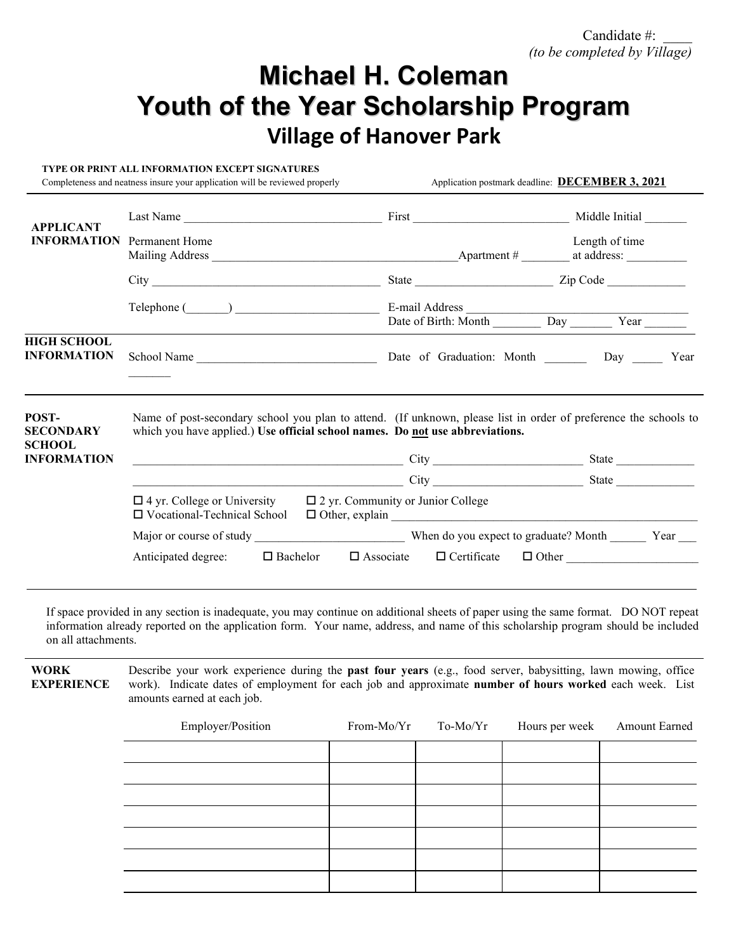# **Michael H. Coleman Youth of the Year Scholarship Program Village of Hanover Park**

#### **TYPE OR PRINT ALL INFORMATION EXCEPT SIGNATURES**

Completeness and neatness insure your application will be reviewed properly Application postmark deadline: **DECEMBER 3, 2021** 

| <b>APPLICANT</b><br><b>INFORMATION</b> Permanent Home            | Last Name                                                                                                                                                                                                                                                                                                                                                                                                                                | First Middle Initial Middle Initial                              |                |  |
|------------------------------------------------------------------|------------------------------------------------------------------------------------------------------------------------------------------------------------------------------------------------------------------------------------------------------------------------------------------------------------------------------------------------------------------------------------------------------------------------------------------|------------------------------------------------------------------|----------------|--|
|                                                                  |                                                                                                                                                                                                                                                                                                                                                                                                                                          |                                                                  | Length of time |  |
|                                                                  |                                                                                                                                                                                                                                                                                                                                                                                                                                          |                                                                  |                |  |
|                                                                  | Telephone (Champion Communication Communication Communication Communication Communication Communication Communication Communication Communication Communication Communication Communication Communication Communication Commun                                                                                                                                                                                                           | Date of Birth: Month Day Year                                    |                |  |
| <b>HIGH SCHOOL</b><br><b>INFORMATION</b>                         |                                                                                                                                                                                                                                                                                                                                                                                                                                          |                                                                  |                |  |
| POST-<br><b>SECONDARY</b><br><b>SCHOOL</b><br><b>INFORMATION</b> | Name of post-secondary school you plan to attend. (If unknown, please list in order of preference the schools to<br>which you have applied.) Use official school names. Do not use abbreviations.<br><u>city</u> city contains a contract of the contract of the contract of the contract of the contract of the contract of the contract of the contract of the contract of the contract of the contract of the contract of the contrac |                                                                  | State          |  |
|                                                                  | $\frac{1}{\sqrt{1-\frac{1}{\sqrt{1-\frac{1}{\sqrt{1-\frac{1}{\sqrt{1-\frac{1}{\sqrt{1-\frac{1}{\sqrt{1-\frac{1}{\sqrt{1-\frac{1}{\sqrt{1-\frac{1}{\sqrt{1-\frac{1}{\sqrt{1-\frac{1}{\sqrt{1-\frac{1}{\sqrt{1-\frac{1}{\sqrt{1-\frac{1}{\sqrt{1-\frac{1}{\sqrt{1-\frac{1}{\sqrt{1-\frac{1}{\sqrt{1-\frac{1}{\sqrt{1-\frac{1}{\sqrt{1-\frac{1}{\sqrt{1-\frac{1}{\sqrt{1-\frac{1}{\sqrt{1-\frac{1}{\sqrt{1-\frac{1}{\sqrt{1-\frac{1$        |                                                                  | State          |  |
|                                                                  | $\Box$ 4 yr. College or University $\Box$ 2 yr. Community or Junior College<br>□ Vocational-Technical School                                                                                                                                                                                                                                                                                                                             |                                                                  |                |  |
|                                                                  |                                                                                                                                                                                                                                                                                                                                                                                                                                          |                                                                  |                |  |
|                                                                  | Anticipated degree:                                                                                                                                                                                                                                                                                                                                                                                                                      | $\Box$ Bachelor $\Box$ Associate $\Box$ Certificate $\Box$ Other |                |  |

If space provided in any section is inadequate, you may continue on additional sheets of paper using the same format. DO NOT repeat information already reported on the application form. Your name, address, and name of this scholarship program should be included on all attachments.

**WORK EXPERIENCE** Describe your work experience during the **past four years** (e.g., food server, babysitting, lawn mowing, office work). Indicate dates of employment for each job and approximate **number of hours worked** each week. List amounts earned at each job.

| Employer/Position | From-Mo/Yr To-Mo/Yr | Hours per week | <b>Amount Earned</b> |
|-------------------|---------------------|----------------|----------------------|
|                   |                     |                |                      |
|                   |                     |                |                      |
|                   |                     |                |                      |
|                   |                     |                |                      |
|                   |                     |                |                      |
|                   |                     |                |                      |
|                   |                     |                |                      |